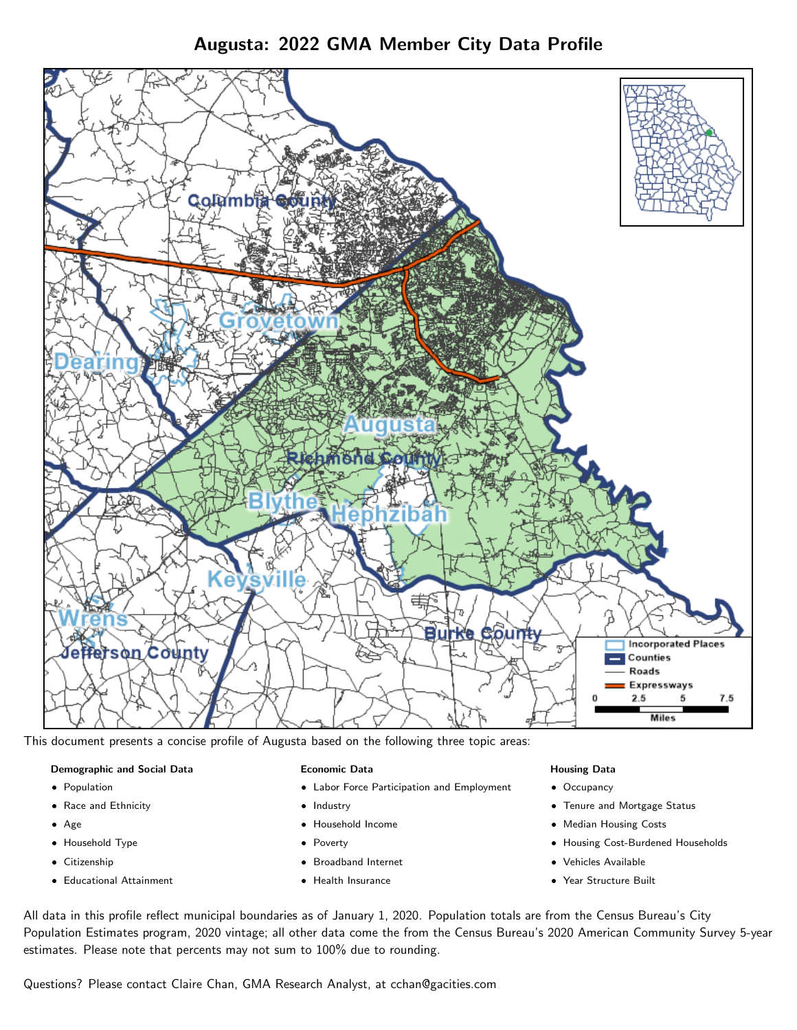Augusta: 2022 GMA Member City Data Profile



This document presents a concise profile of Augusta based on the following three topic areas:

## Demographic and Social Data

- **•** Population
- Race and Ethnicity
- Age
- Household Type
- **Citizenship**
- Educational Attainment

#### Economic Data

- Labor Force Participation and Employment
- Industry
- Household Income
- Poverty
- Broadband Internet
- Health Insurance

#### Housing Data

- Occupancy
- Tenure and Mortgage Status
- Median Housing Costs
- Housing Cost-Burdened Households
- Vehicles Available
- Year Structure Built

All data in this profile reflect municipal boundaries as of January 1, 2020. Population totals are from the Census Bureau's City Population Estimates program, 2020 vintage; all other data come the from the Census Bureau's 2020 American Community Survey 5-year estimates. Please note that percents may not sum to 100% due to rounding.

Questions? Please contact Claire Chan, GMA Research Analyst, at [cchan@gacities.com.](mailto:cchan@gacities.com)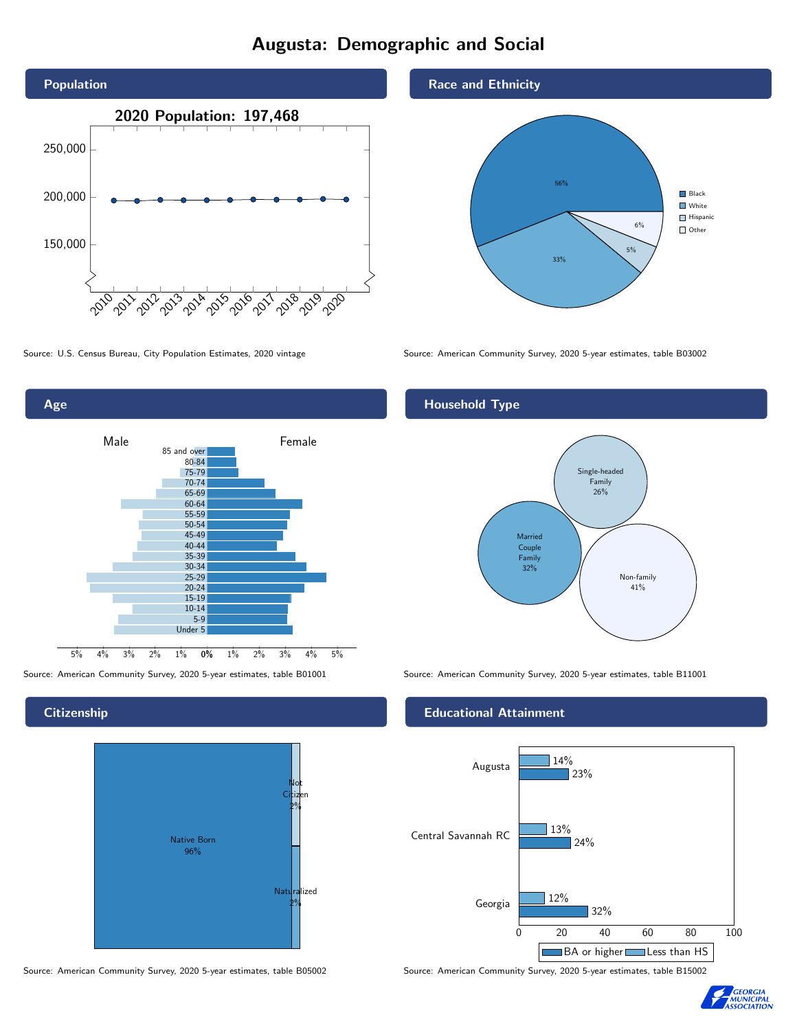# Augusta: Demographic and Social





### **Citizenship**



Source: American Community Survey, 2020 5-year estimates, table B05002 Source: American Community Survey, 2020 5-year estimates, table B15002





Source: U.S. Census Bureau, City Population Estimates, 2020 vintage Source: American Community Survey, 2020 5-year estimates, table B03002

## Household Type



Source: American Community Survey, 2020 5-year estimates, table B01001 Source: American Community Survey, 2020 5-year estimates, table B11001

#### Educational Attainment



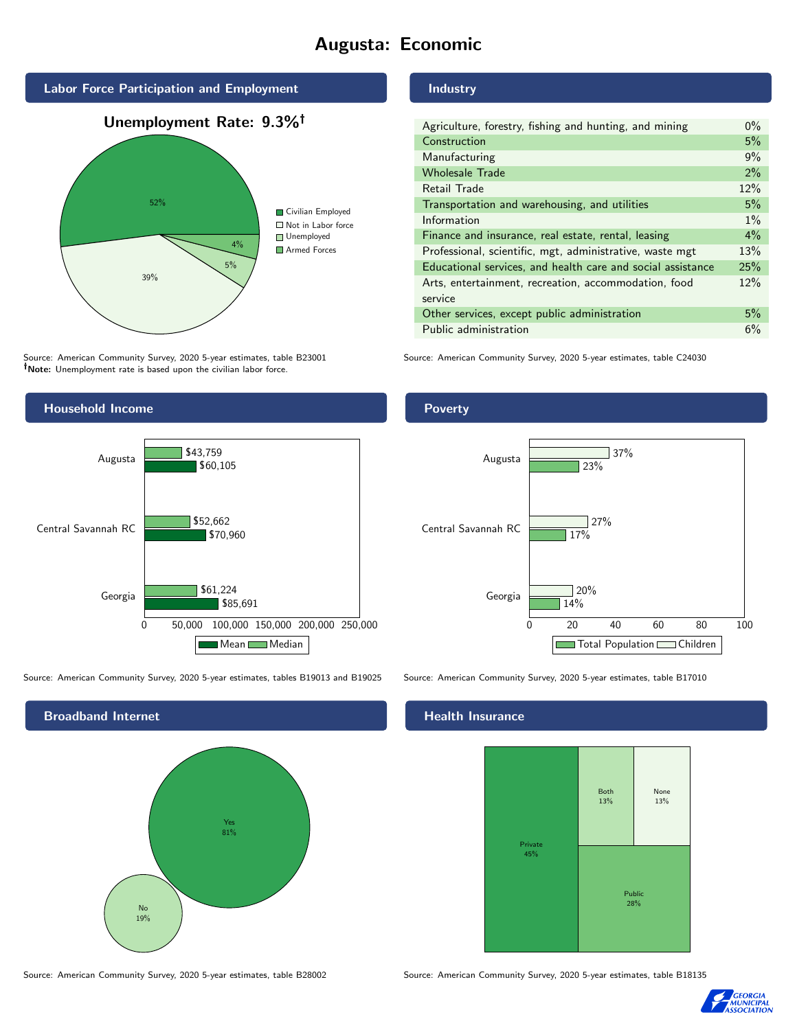# Augusta: Economic



Source: American Community Survey, 2020 5-year estimates, table B23001 Note: Unemployment rate is based upon the civilian labor force.



Source: American Community Survey, 2020 5-year estimates, tables B19013 and B19025 Source: American Community Survey, 2020 5-year estimates, table B17010



Source: American Community Survey, 2020 5-year estimates, table B28002 Source: American Community Survey, 2020 5-year estimates, table B18135

Industry

| Agriculture, forestry, fishing and hunting, and mining      | $0\%$ |
|-------------------------------------------------------------|-------|
| Construction                                                | 5%    |
| Manufacturing                                               | 9%    |
| <b>Wholesale Trade</b>                                      | $2\%$ |
| Retail Trade                                                | 12%   |
| Transportation and warehousing, and utilities               | 5%    |
| Information                                                 | $1\%$ |
| Finance and insurance, real estate, rental, leasing         | $4\%$ |
| Professional, scientific, mgt, administrative, waste mgt    | 13%   |
| Educational services, and health care and social assistance | 25%   |
| Arts, entertainment, recreation, accommodation, food        | 12%   |
| service                                                     |       |
| Other services, except public administration                | 5%    |
| Public administration                                       | 6%    |

Source: American Community Survey, 2020 5-year estimates, table C24030

#### Poverty



#### Health Insurance